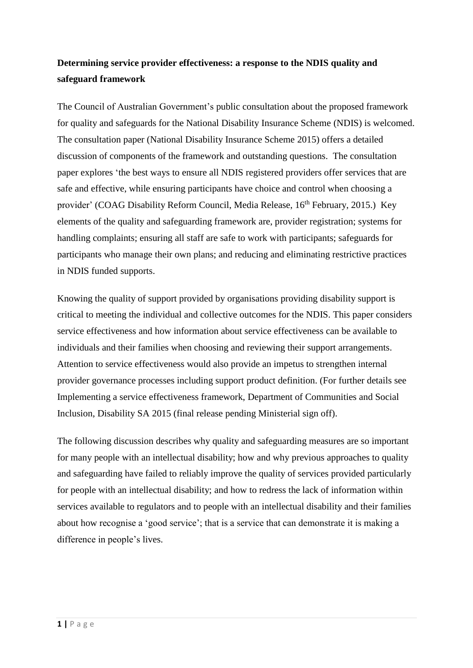# **Determining service provider effectiveness: a response to the NDIS quality and safeguard framework**

The Council of Australian Government's public consultation about the proposed framework for quality and safeguards for the National Disability Insurance Scheme (NDIS) is welcomed. The consultation paper (National Disability Insurance Scheme 2015) offers a detailed discussion of components of the framework and outstanding questions. The consultation paper explores 'the best ways to ensure all NDIS registered providers offer services that are safe and effective, while ensuring participants have choice and control when choosing a provider' (COAG Disability Reform Council, Media Release, 16th February, 2015.) Key elements of the quality and safeguarding framework are, provider registration; systems for handling complaints; ensuring all staff are safe to work with participants; safeguards for participants who manage their own plans; and reducing and eliminating restrictive practices in NDIS funded supports.

Knowing the quality of support provided by organisations providing disability support is critical to meeting the individual and collective outcomes for the NDIS. This paper considers service effectiveness and how information about service effectiveness can be available to individuals and their families when choosing and reviewing their support arrangements. Attention to service effectiveness would also provide an impetus to strengthen internal provider governance processes including support product definition. (For further details see Implementing a service effectiveness framework, Department of Communities and Social Inclusion, Disability SA 2015 (final release pending Ministerial sign off).

The following discussion describes why quality and safeguarding measures are so important for many people with an intellectual disability; how and why previous approaches to quality and safeguarding have failed to reliably improve the quality of services provided particularly for people with an intellectual disability; and how to redress the lack of information within services available to regulators and to people with an intellectual disability and their families about how recognise a 'good service'; that is a service that can demonstrate it is making a difference in people's lives.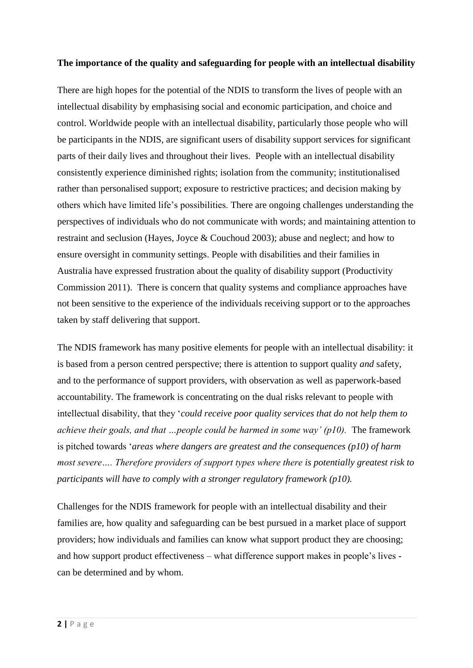#### **The importance of the quality and safeguarding for people with an intellectual disability**

There are high hopes for the potential of the NDIS to transform the lives of people with an intellectual disability by emphasising social and economic participation, and choice and control. Worldwide people with an intellectual disability, particularly those people who will be participants in the NDIS, are significant users of disability support services for significant parts of their daily lives and throughout their lives. People with an intellectual disability consistently experience diminished rights; isolation from the community; institutionalised rather than personalised support; exposure to restrictive practices; and decision making by others which have limited life's possibilities. There are ongoing challenges understanding the perspectives of individuals who do not communicate with words; and maintaining attention to restraint and seclusion (Hayes, Joyce & Couchoud 2003); abuse and neglect; and how to ensure oversight in community settings. People with disabilities and their families in Australia have expressed frustration about the quality of disability support (Productivity Commission 2011). There is concern that quality systems and compliance approaches have not been sensitive to the experience of the individuals receiving support or to the approaches taken by staff delivering that support.

The NDIS framework has many positive elements for people with an intellectual disability: it is based from a person centred perspective; there is attention to support quality *and* safety, and to the performance of support providers, with observation as well as paperwork-based accountability. The framework is concentrating on the dual risks relevant to people with intellectual disability, that they '*could receive poor quality services that do not help them to achieve their goals, and that …people could be harmed in some way' (p10).* The framework is pitched towards '*areas where dangers are greatest and the consequences (p10) of harm most severe…. Therefore providers of support types where there is potentially greatest risk to participants will have to comply with a stronger regulatory framework (p10).*

Challenges for the NDIS framework for people with an intellectual disability and their families are, how quality and safeguarding can be best pursued in a market place of support providers; how individuals and families can know what support product they are choosing; and how support product effectiveness – what difference support makes in people's lives can be determined and by whom.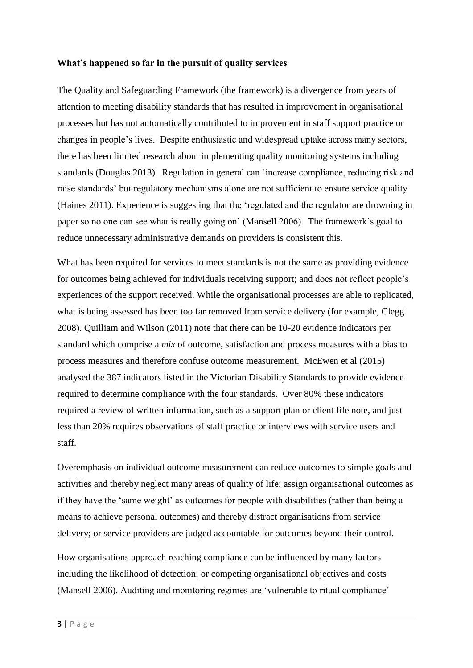#### **What's happened so far in the pursuit of quality services**

The Quality and Safeguarding Framework (the framework) is a divergence from years of attention to meeting disability standards that has resulted in improvement in organisational processes but has not automatically contributed to improvement in staff support practice or changes in people's lives. Despite enthusiastic and widespread uptake across many sectors, there has been limited research about implementing quality monitoring systems including standards (Douglas 2013). Regulation in general can 'increase compliance, reducing risk and raise standards' but regulatory mechanisms alone are not sufficient to ensure service quality (Haines 2011). Experience is suggesting that the 'regulated and the regulator are drowning in paper so no one can see what is really going on' (Mansell 2006). The framework's goal to reduce unnecessary administrative demands on providers is consistent this.

What has been required for services to meet standards is not the same as providing evidence for outcomes being achieved for individuals receiving support; and does not reflect people's experiences of the support received. While the organisational processes are able to replicated, what is being assessed has been too far removed from service delivery (for example, Clegg 2008). Quilliam and Wilson (2011) note that there can be 10-20 evidence indicators per standard which comprise a *mix* of outcome, satisfaction and process measures with a bias to process measures and therefore confuse outcome measurement. McEwen et al (2015) analysed the 387 indicators listed in the Victorian Disability Standards to provide evidence required to determine compliance with the four standards. Over 80% these indicators required a review of written information, such as a support plan or client file note, and just less than 20% requires observations of staff practice or interviews with service users and staff.

Overemphasis on individual outcome measurement can reduce outcomes to simple goals and activities and thereby neglect many areas of quality of life; assign organisational outcomes as if they have the 'same weight' as outcomes for people with disabilities (rather than being a means to achieve personal outcomes) and thereby distract organisations from service delivery; or service providers are judged accountable for outcomes beyond their control.

How organisations approach reaching compliance can be influenced by many factors including the likelihood of detection; or competing organisational objectives and costs (Mansell 2006). Auditing and monitoring regimes are 'vulnerable to ritual compliance'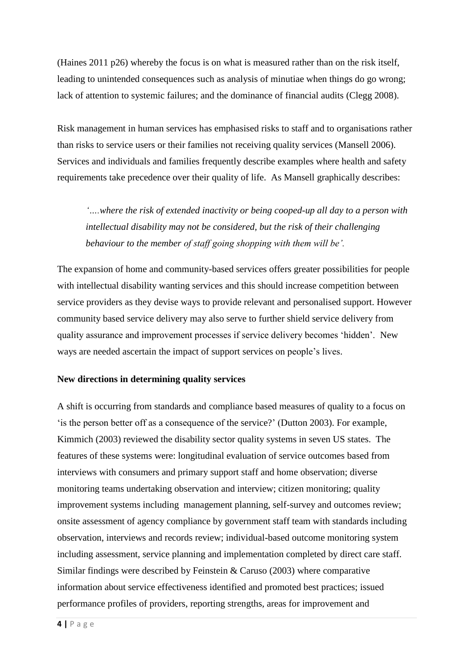(Haines 2011 p26) whereby the focus is on what is measured rather than on the risk itself, leading to unintended consequences such as analysis of minutiae when things do go wrong; lack of attention to systemic failures; and the dominance of financial audits (Clegg 2008).

Risk management in human services has emphasised risks to staff and to organisations rather than risks to service users or their families not receiving quality services (Mansell 2006). Services and individuals and families frequently describe examples where health and safety requirements take precedence over their quality of life. As Mansell graphically describes:

*'….where the risk of extended inactivity or being cooped-up all day to a person with intellectual disability may not be considered, but the risk of their challenging behaviour to the member of staff going shopping with them will be'.*

The expansion of home and community-based services offers greater possibilities for people with intellectual disability wanting services and this should increase competition between service providers as they devise ways to provide relevant and personalised support. However community based service delivery may also serve to further shield service delivery from quality assurance and improvement processes if service delivery becomes 'hidden'. New ways are needed ascertain the impact of support services on people's lives.

## **New directions in determining quality services**

A shift is occurring from standards and compliance based measures of quality to a focus on 'is the person better off as a consequence of the service?' (Dutton 2003). For example, Kimmich (2003) reviewed the disability sector quality systems in seven US states. The features of these systems were: longitudinal evaluation of service outcomes based from interviews with consumers and primary support staff and home observation; diverse monitoring teams undertaking observation and interview; citizen monitoring; quality improvement systems including management planning, self-survey and outcomes review; onsite assessment of agency compliance by government staff team with standards including observation, interviews and records review; individual-based outcome monitoring system including assessment, service planning and implementation completed by direct care staff. Similar findings were described by Feinstein & Caruso (2003) where comparative information about service effectiveness identified and promoted best practices; issued performance profiles of providers, reporting strengths, areas for improvement and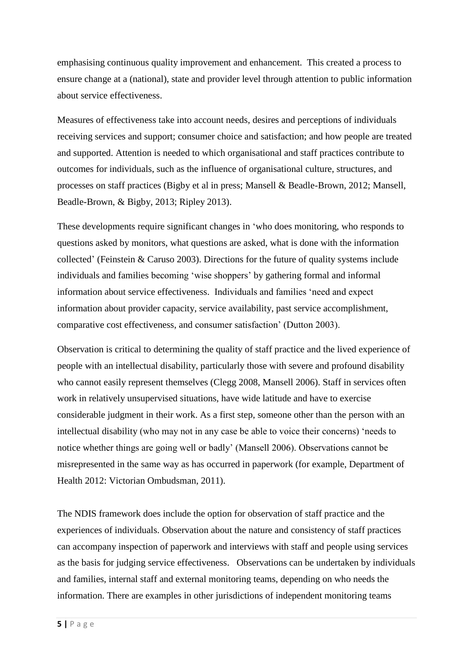emphasising continuous quality improvement and enhancement. This created a process to ensure change at a (national), state and provider level through attention to public information about service effectiveness.

Measures of effectiveness take into account needs, desires and perceptions of individuals receiving services and support; consumer choice and satisfaction; and how people are treated and supported. Attention is needed to which organisational and staff practices contribute to outcomes for individuals, such as the influence of organisational culture, structures, and processes on staff practices (Bigby et al in press; Mansell & Beadle-Brown, 2012; Mansell, Beadle-Brown, & Bigby, 2013; Ripley 2013).

These developments require significant changes in 'who does monitoring, who responds to questions asked by monitors, what questions are asked, what is done with the information collected' (Feinstein & Caruso 2003). Directions for the future of quality systems include individuals and families becoming 'wise shoppers' by gathering formal and informal information about service effectiveness. Individuals and families 'need and expect information about provider capacity, service availability, past service accomplishment, comparative cost effectiveness, and consumer satisfaction' (Dutton 2003).

Observation is critical to determining the quality of staff practice and the lived experience of people with an intellectual disability, particularly those with severe and profound disability who cannot easily represent themselves (Clegg 2008, Mansell 2006). Staff in services often work in relatively unsupervised situations, have wide latitude and have to exercise considerable judgment in their work. As a first step, someone other than the person with an intellectual disability (who may not in any case be able to voice their concerns) 'needs to notice whether things are going well or badly' (Mansell 2006). Observations cannot be misrepresented in the same way as has occurred in paperwork (for example, Department of Health 2012: Victorian Ombudsman, 2011).

The NDIS framework does include the option for observation of staff practice and the experiences of individuals. Observation about the nature and consistency of staff practices can accompany inspection of paperwork and interviews with staff and people using services as the basis for judging service effectiveness. Observations can be undertaken by individuals and families, internal staff and external monitoring teams, depending on who needs the information. There are examples in other jurisdictions of independent monitoring teams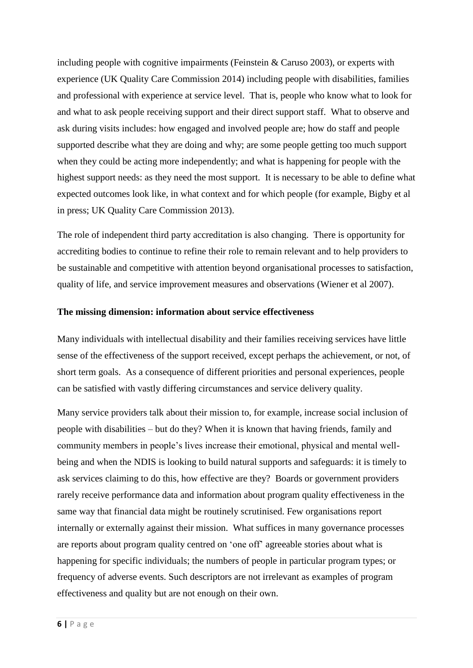including people with cognitive impairments (Feinstein & Caruso 2003), or experts with experience (UK Quality Care Commission 2014) including people with disabilities, families and professional with experience at service level. That is, people who know what to look for and what to ask people receiving support and their direct support staff. What to observe and ask during visits includes: how engaged and involved people are; how do staff and people supported describe what they are doing and why; are some people getting too much support when they could be acting more independently; and what is happening for people with the highest support needs: as they need the most support. It is necessary to be able to define what expected outcomes look like, in what context and for which people (for example, Bigby et al in press; UK Quality Care Commission 2013).

The role of independent third party accreditation is also changing. There is opportunity for accrediting bodies to continue to refine their role to remain relevant and to help providers to be sustainable and competitive with attention beyond organisational processes to satisfaction, quality of life, and service improvement measures and observations (Wiener et al 2007).

#### **The missing dimension: information about service effectiveness**

Many individuals with intellectual disability and their families receiving services have little sense of the effectiveness of the support received, except perhaps the achievement, or not, of short term goals. As a consequence of different priorities and personal experiences, people can be satisfied with vastly differing circumstances and service delivery quality.

Many service providers talk about their mission to, for example, increase social inclusion of people with disabilities – but do they? When it is known that having friends, family and community members in people's lives increase their emotional, physical and mental wellbeing and when the NDIS is looking to build natural supports and safeguards: it is timely to ask services claiming to do this, how effective are they? Boards or government providers rarely receive performance data and information about program quality effectiveness in the same way that financial data might be routinely scrutinised. Few organisations report internally or externally against their mission. What suffices in many governance processes are reports about program quality centred on 'one off' agreeable stories about what is happening for specific individuals; the numbers of people in particular program types; or frequency of adverse events. Such descriptors are not irrelevant as examples of program effectiveness and quality but are not enough on their own.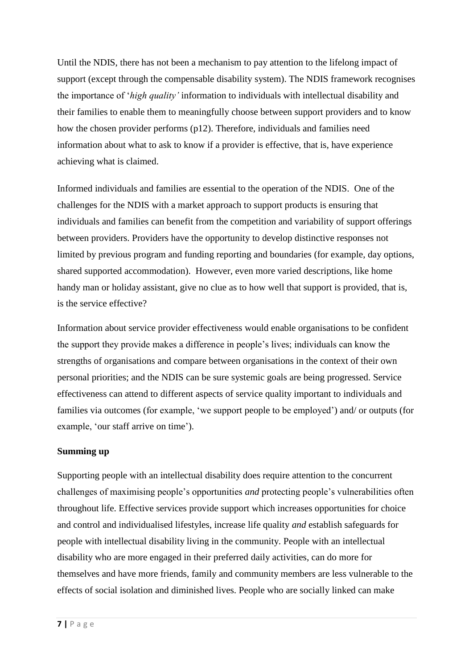Until the NDIS, there has not been a mechanism to pay attention to the lifelong impact of support (except through the compensable disability system). The NDIS framework recognises the importance of '*high quality'* information to individuals with intellectual disability and their families to enable them to meaningfully choose between support providers and to know how the chosen provider performs (p12). Therefore, individuals and families need information about what to ask to know if a provider is effective, that is, have experience achieving what is claimed.

Informed individuals and families are essential to the operation of the NDIS. One of the challenges for the NDIS with a market approach to support products is ensuring that individuals and families can benefit from the competition and variability of support offerings between providers. Providers have the opportunity to develop distinctive responses not limited by previous program and funding reporting and boundaries (for example, day options, shared supported accommodation). However, even more varied descriptions, like home handy man or holiday assistant, give no clue as to how well that support is provided, that is, is the service effective?

Information about service provider effectiveness would enable organisations to be confident the support they provide makes a difference in people's lives; individuals can know the strengths of organisations and compare between organisations in the context of their own personal priorities; and the NDIS can be sure systemic goals are being progressed. Service effectiveness can attend to different aspects of service quality important to individuals and families via outcomes (for example, 'we support people to be employed') and/ or outputs (for example, 'our staff arrive on time').

## **Summing up**

Supporting people with an intellectual disability does require attention to the concurrent challenges of maximising people's opportunities *and* protecting people's vulnerabilities often throughout life. Effective services provide support which increases opportunities for choice and control and individualised lifestyles, increase life quality *and* establish safeguards for people with intellectual disability living in the community. People with an intellectual disability who are more engaged in their preferred daily activities, can do more for themselves and have more friends, family and community members are less vulnerable to the effects of social isolation and diminished lives. People who are socially linked can make